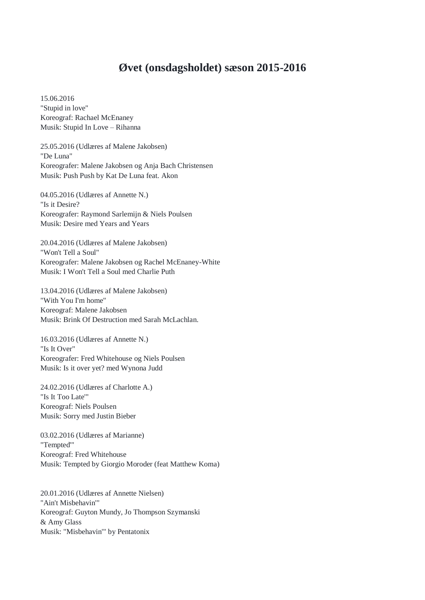## **Øvet (onsdagsholdet) sæson 2015-2016**

15.06.2016 "Stupid in love" Koreograf: Rachael McEnaney Musik: Stupid In Love – Rihanna

25.05.2016 (Udlæres af Malene Jakobsen) "De Luna" Koreografer: Malene Jakobsen og Anja Bach Christensen Musik: Push Push by Kat De Luna feat. Akon

04.05.2016 (Udlæres af Annette N.) "Is it Desire? Koreografer: Raymond Sarlemijn & Niels Poulsen Musik: Desire med Years and Years

20.04.2016 (Udlæres af Malene Jakobsen) "Won't Tell a Soul" Koreografer: Malene Jakobsen og Rachel McEnaney-White Musik: I Won't Tell a Soul med Charlie Puth

13.04.2016 (Udlæres af Malene Jakobsen) "With You I'm home" Koreograf: Malene Jakobsen Musik: Brink Of Destruction med Sarah McLachlan.

16.03.2016 (Udlæres af Annette N.) "Is It Over" Koreografer: Fred Whitehouse og Niels Poulsen Musik: Is it over yet? med Wynona Judd

24.02.2016 (Udlæres af Charlotte A.) "Is It Too Late'" Koreograf: Niels Poulsen Musik: Sorry med Justin Bieber

03.02.2016 (Udlæres af Marianne) "Tempted'" Koreograf: Fred Whitehouse Musik: Tempted by Giorgio Moroder (feat Matthew Koma)

20.01.2016 (Udlæres af Annette Nielsen) "Ain't Misbehavin'" Koreograf: Guyton Mundy, Jo Thompson Szymanski & Amy Glass Musik: "Misbehavin'" by Pentatonix